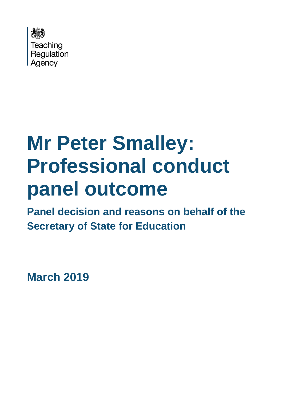

# **Mr Peter Smalley: Professional conduct panel outcome**

**Panel decision and reasons on behalf of the Secretary of State for Education**

**March 2019**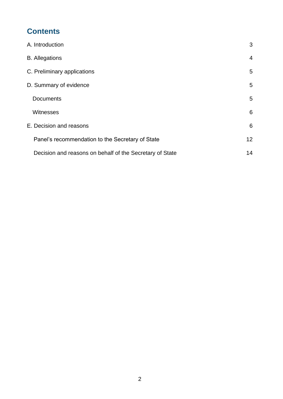# **Contents**

| A. Introduction                                          | 3              |
|----------------------------------------------------------|----------------|
| <b>B.</b> Allegations                                    | $\overline{4}$ |
| C. Preliminary applications                              | 5              |
| D. Summary of evidence                                   | 5              |
| <b>Documents</b>                                         | 5              |
| Witnesses                                                | 6              |
| E. Decision and reasons                                  | 6              |
| Panel's recommendation to the Secretary of State         | 12             |
| Decision and reasons on behalf of the Secretary of State | 14             |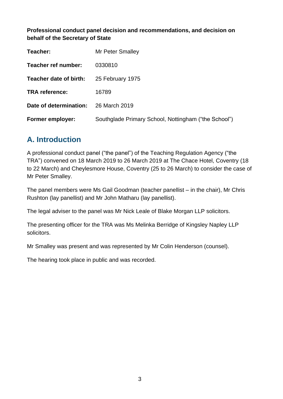**Professional conduct panel decision and recommendations, and decision on behalf of the Secretary of State**

| Teacher:                | Mr Peter Smalley                                     |  |
|-------------------------|------------------------------------------------------|--|
| Teacher ref number:     | 0330810                                              |  |
| Teacher date of birth:  | 25 February 1975                                     |  |
| <b>TRA reference:</b>   | 16789                                                |  |
| Date of determination:  | 26 March 2019                                        |  |
| <b>Former employer:</b> | Southglade Primary School, Nottingham ("the School") |  |

## <span id="page-2-0"></span>**A. Introduction**

A professional conduct panel ("the panel") of the Teaching Regulation Agency ("the TRA") convened on 18 March 2019 to 26 March 2019 at The Chace Hotel, Coventry (18 to 22 March) and Cheylesmore House, Coventry (25 to 26 March) to consider the case of Mr Peter Smalley.

The panel members were Ms Gail Goodman (teacher panellist – in the chair), Mr Chris Rushton (lay panellist) and Mr John Matharu (lay panellist).

The legal adviser to the panel was Mr Nick Leale of Blake Morgan LLP solicitors.

The presenting officer for the TRA was Ms Melinka Berridge of Kingsley Napley LLP solicitors.

Mr Smalley was present and was represented by Mr Colin Henderson (counsel).

The hearing took place in public and was recorded.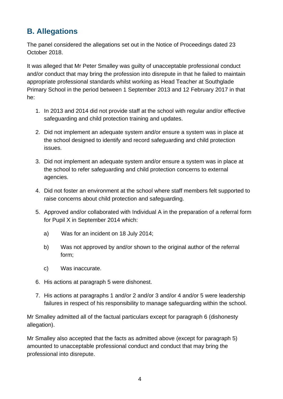## <span id="page-3-0"></span>**B. Allegations**

The panel considered the allegations set out in the Notice of Proceedings dated 23 October 2018.

It was alleged that Mr Peter Smalley was guilty of unacceptable professional conduct and/or conduct that may bring the profession into disrepute in that he failed to maintain appropriate professional standards whilst working as Head Teacher at Southglade Primary School in the period between 1 September 2013 and 12 February 2017 in that he:

- 1. In 2013 and 2014 did not provide staff at the school with regular and/or effective safeguarding and child protection training and updates.
- 2. Did not implement an adequate system and/or ensure a system was in place at the school designed to identify and record safeguarding and child protection issues.
- 3. Did not implement an adequate system and/or ensure a system was in place at the school to refer safeguarding and child protection concerns to external agencies.
- 4. Did not foster an environment at the school where staff members felt supported to raise concerns about child protection and safeguarding.
- 5. Approved and/or collaborated with Individual A in the preparation of a referral form for Pupil X in September 2014 which:
	- a) Was for an incident on 18 July 2014;
	- b) Was not approved by and/or shown to the original author of the referral form;
	- c) Was inaccurate.
- 6. His actions at paragraph 5 were dishonest.
- 7. His actions at paragraphs 1 and/or 2 and/or 3 and/or 4 and/or 5 were leadership failures in respect of his responsibility to manage safeguarding within the school.

Mr Smalley admitted all of the factual particulars except for paragraph 6 (dishonesty allegation).

Mr Smalley also accepted that the facts as admitted above (except for paragraph 5) amounted to unacceptable professional conduct and conduct that may bring the professional into disrepute.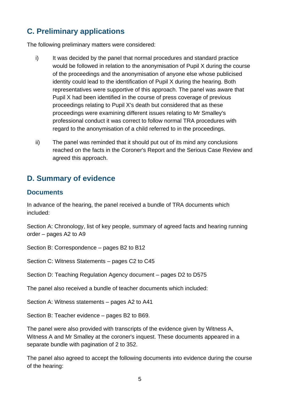# <span id="page-4-0"></span>**C. Preliminary applications**

The following preliminary matters were considered:

- i) It was decided by the panel that normal procedures and standard practice would be followed in relation to the anonymisation of Pupil X during the course of the proceedings and the anonymisation of anyone else whose publicised identity could lead to the identification of Pupil X during the hearing. Both representatives were supportive of this approach. The panel was aware that Pupil X had been identified in the course of press coverage of previous proceedings relating to Pupil X's death but considered that as these proceedings were examining different issues relating to Mr Smalley's professional conduct it was correct to follow normal TRA procedures with regard to the anonymisation of a child referred to in the proceedings.
- ii) The panel was reminded that it should put out of its mind any conclusions reached on the facts in the Coroner's Report and the Serious Case Review and agreed this approach.

## <span id="page-4-1"></span>**D. Summary of evidence**

#### <span id="page-4-2"></span>**Documents**

In advance of the hearing, the panel received a bundle of TRA documents which included:

Section A: Chronology, list of key people, summary of agreed facts and hearing running order – pages A2 to A9

Section B: Correspondence – pages B2 to B12

Section C: Witness Statements – pages C2 to C45

Section D: Teaching Regulation Agency document – pages D2 to D575

The panel also received a bundle of teacher documents which included:

Section A: Witness statements – pages A2 to A41

Section B: Teacher evidence – pages B2 to B69.

The panel were also provided with transcripts of the evidence given by Witness A, Witness A and Mr Smalley at the coroner's inquest. These documents appeared in a separate bundle with pagination of 2 to 352.

The panel also agreed to accept the following documents into evidence during the course of the hearing: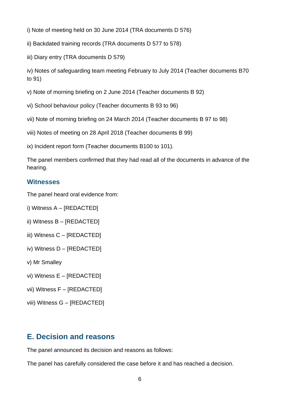- i) Note of meeting held on 30 June 2014 (TRA documents D 576)
- ii) Backdated training records (TRA documents D 577 to 578)
- iii) Diary entry (TRA documents D 579)

iv) Notes of safeguarding team meeting February to July 2014 (Teacher documents B70 to 91)

- v) Note of morning briefing on 2 June 2014 (Teacher documents B 92)
- vi) School behaviour policy (Teacher documents B 93 to 96)
- vii) Note of morning briefing on 24 March 2014 (Teacher documents B 97 to 98)
- viii) Notes of meeting on 28 April 2018 (Teacher documents B 99)
- ix) Incident report form (Teacher documents B100 to 101).

The panel members confirmed that they had read all of the documents in advance of the hearing.

#### <span id="page-5-0"></span>**Witnesses**

The panel heard oral evidence from:

- i) Witness A [REDACTED]
- ii) Witness B [REDACTED]
- iii) Witness C [REDACTED]
- iv) Witness D [REDACTED]
- v) Mr Smalley
- vi) Witness E [REDACTED]
- vii) Witness F [REDACTED]
- viii) Witness G [REDACTED]

## <span id="page-5-1"></span>**E. Decision and reasons**

The panel announced its decision and reasons as follows:

The panel has carefully considered the case before it and has reached a decision.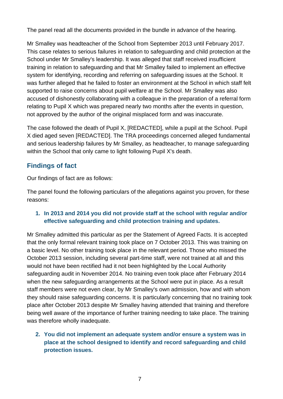The panel read all the documents provided in the bundle in advance of the hearing.

Mr Smalley was headteacher of the School from September 2013 until February 2017. This case relates to serious failures in relation to safeguarding and child protection at the School under Mr Smalley's leadership. It was alleged that staff received insufficient training in relation to safeguarding and that Mr Smalley failed to implement an effective system for identifying, recording and referring on safeguarding issues at the School. It was further alleged that he failed to foster an environment at the School in which staff felt supported to raise concerns about pupil welfare at the School. Mr Smalley was also accused of dishonestly collaborating with a colleague in the preparation of a referral form relating to Pupil X which was prepared nearly two months after the events in question, not approved by the author of the original misplaced form and was inaccurate.

The case followed the death of Pupil X, [REDACTED], while a pupil at the School. Pupil X died aged seven [REDACTED]. The TRA proceedings concerned alleged fundamental and serious leadership failures by Mr Smalley, as headteacher, to manage safeguarding within the School that only came to light following Pupil X's death.

### **Findings of fact**

Our findings of fact are as follows:

The panel found the following particulars of the allegations against you proven, for these reasons:

#### **1. In 2013 and 2014 you did not provide staff at the school with regular and/or effective safeguarding and child protection training and updates.**

Mr Smalley admitted this particular as per the Statement of Agreed Facts. It is accepted that the only formal relevant training took place on 7 October 2013. This was training on a basic level. No other training took place in the relevant period. Those who missed the October 2013 session, including several part-time staff, were not trained at all and this would not have been rectified had it not been highlighted by the Local Authority safeguarding audit in November 2014. No training even took place after February 2014 when the new safeguarding arrangements at the School were put in place. As a result staff members were not even clear, by Mr Smalley's own admission, how and with whom they should raise safeguarding concerns. It is particularly concerning that no training took place after October 2013 despite Mr Smalley having attended that training and therefore being well aware of the importance of further training needing to take place. The training was therefore wholly inadequate.

#### **2. You did not implement an adequate system and/or ensure a system was in place at the school designed to identify and record safeguarding and child protection issues.**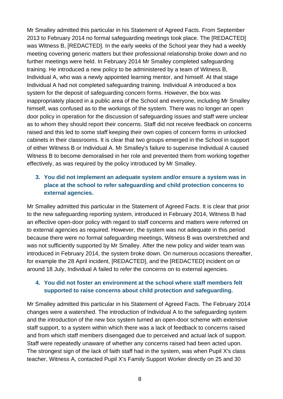Mr Smalley admitted this particular in his Statement of Agreed Facts. From September 2013 to February 2014 no formal safeguarding meetings took place. The [REDACTED] was Witness B, [REDACTED]. In the early weeks of the School year they had a weekly meeting covering generic matters but their professional relationship broke down and no further meetings were held. In February 2014 Mr Smalley completed safeguarding training. He introduced a new policy to be administered by a team of Witness B, Individual A, who was a newly appointed learning mentor, and himself. At that stage Individual A had not completed safeguarding training. Individual A introduced a box system for the deposit of safeguarding concern forms. However, the box was inappropriately placed in a public area of the School and everyone, including Mr Smalley himself, was confused as to the workings of the system. There was no longer an open door policy in operation for the discussion of safeguarding issues and staff were unclear as to whom they should report their concerns. Staff did not receive feedback on concerns raised and this led to some staff keeping their own copies of concern forms in unlocked cabinets in their classrooms. It is clear that two groups emerged in the School in support of either Witness B or Individual A. Mr Smalley's failure to supervise Individual A caused Witness B to become demoralised in her role and prevented them from working together effectively, as was required by the policy introduced by Mr Smalley.

#### **3. You did not implement an adequate system and/or ensure a system was in place at the school to refer safeguarding and child protection concerns to external agencies.**

Mr Smalley admitted this particular in the Statement of Agreed Facts. It is clear that prior to the new safeguarding reporting system, introduced in February 2014, Witness B had an effective open-door policy with regard to staff concerns and matters were referred on to external agencies as required. However, the system was not adequate in this period because there were no formal safeguarding meetings, Witness B was overstretched and was not sufficiently supported by Mr Smalley. After the new policy and wider team was introduced in February 2014, the system broke down. On numerous occasions thereafter, for example the 28 April incident, [REDACTED], and the [REDACTED] incident on or around 18 July, Individual A failed to refer the concerns on to external agencies.

#### **4. You did not foster an environment at the school where staff members felt supported to raise concerns about child protection and safeguarding.**

Mr Smalley admitted this particular in his Statement of Agreed Facts. The February 2014 changes were a watershed. The introduction of Individual A to the safeguarding system and the introduction of the new box system turned an open-door scheme with extensive staff support, to a system within which there was a lack of feedback to concerns raised and from which staff members disengaged due to perceived and actual lack of support. Staff were repeatedly unaware of whether any concerns raised had been acted upon. The strongest sign of the lack of faith staff had in the system, was when Pupil X's class teacher, Witness A, contacted Pupil X's Family Support Worker directly on 25 and 30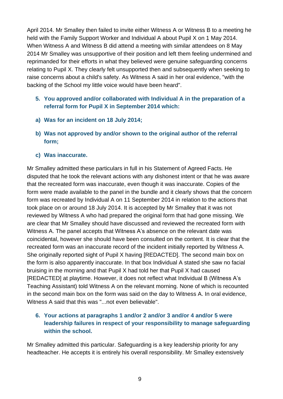April 2014. Mr Smalley then failed to invite either Witness A or Witness B to a meeting he held with the Family Support Worker and Individual A about Pupil X on 1 May 2014. When Witness A and Witness B did attend a meeting with similar attendees on 8 May 2014 Mr Smalley was unsupportive of their position and left them feeling undermined and reprimanded for their efforts in what they believed were genuine safeguarding concerns relating to Pupil X. They clearly felt unsupported then and subsequently when seeking to raise concerns about a child's safety. As Witness A said in her oral evidence, "with the backing of the School my little voice would have been heard".

#### **5. You approved and/or collaborated with Individual A in the preparation of a referral form for Pupil X in September 2014 which:**

- **a) Was for an incident on 18 July 2014;**
- **b) Was not approved by and/or shown to the original author of the referral form;**
- **c) Was inaccurate.**

Mr Smalley admitted these particulars in full in his Statement of Agreed Facts. He disputed that he took the relevant actions with any dishonest intent or that he was aware that the recreated form was inaccurate, even though it was inaccurate. Copies of the form were made available to the panel in the bundle and it clearly shows that the concern form was recreated by Individual A on 11 September 2014 in relation to the actions that took place on or around 18 July 2014. It is accepted by Mr Smalley that it was not reviewed by Witness A who had prepared the original form that had gone missing. We are clear that Mr Smalley should have discussed and reviewed the recreated form with Witness A. The panel accepts that Witness A's absence on the relevant date was coincidental, however she should have been consulted on the content. It is clear that the recreated form was an inaccurate record of the incident initially reported by Witness A. She originally reported sight of Pupil X having [REDACTED]. The second main box on the form is also apparently inaccurate. In that box Individual A stated she saw no facial bruising in the morning and that Pupil X had told her that Pupil X had caused [REDACTED] at playtime. However, it does not reflect what Individual B (Witness A's Teaching Assistant) told Witness A on the relevant morning. None of which is recounted in the second main box on the form was said on the day to Witness A. In oral evidence, Witness A said that this was "...not even believable".

#### **6. Your actions at paragraphs 1 and/or 2 and/or 3 and/or 4 and/or 5 were leadership failures in respect of your responsibility to manage safeguarding within the school.**

Mr Smalley admitted this particular. Safeguarding is a key leadership priority for any headteacher. He accepts it is entirely his overall responsibility. Mr Smalley extensively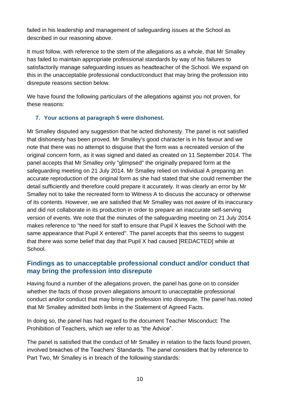failed in his leadership and management of safeguarding issues at the School as described in our reasoning above.

It must follow, with reference to the stem of the allegations as a whole, that Mr Smalley has failed to maintain appropriate professional standards by way of his failures to satisfactorily manage safeguarding issues as headteacher of the School. We expand on this in the unacceptable professional conduct/conduct that may bring the profession into disrepute reasons section below.

We have found the following particulars of the allegations against you not proven, for these reasons:

#### **7. Your actions at paragraph 5 were dishonest.**

Mr Smalley disputed any suggestion that he acted dishonesty. The panel is not satisfied that dishonesty has been proved. Mr Smalley's good character is in his favour and we note that there was no attempt to disguise that the form was a recreated version of the original concern form, as it was signed and dated as created on 11 September 2014. The panel accepts that Mr Smalley only "glimpsed" the originally prepared form at the safeguarding meeting on 21 July 2014. Mr Smalley relied on Individual A preparing an accurate reproduction of the original form as she had stated that she could remember the detail sufficiently and therefore could prepare it accurately. It was clearly an error by Mr Smalley not to take the recreated form to Witness A to discuss the accuracy or otherwise of its contents. However, we are satisfied that Mr Smalley was not aware of its inaccuracy and did not collaborate in its production in order to prepare an inaccurate self-serving version of events. We note that the minutes of the safeguarding meeting on 21 July 2014 makes reference to "the need for staff to ensure that Pupil X leaves the School with the same appearance that Pupil X entered". The panel accepts that this seems to suggest that there was some belief that day that Pupil X had caused [REDACTED] while at School.

#### **Findings as to unacceptable professional conduct and/or conduct that may bring the profession into disrepute**

Having found a number of the allegations proven, the panel has gone on to consider whether the facts of those proven allegations amount to unacceptable professional conduct and/or conduct that may bring the profession into disrepute. The panel has noted that Mr Smalley admitted both limbs in the Statement of Agreed Facts.

In doing so, the panel has had regard to the document Teacher Misconduct: The Prohibition of Teachers, which we refer to as "the Advice".

The panel is satisfied that the conduct of Mr Smalley in relation to the facts found proven, involved breaches of the Teachers' Standards. The panel considers that by reference to Part Two, Mr Smalley is in breach of the following standards: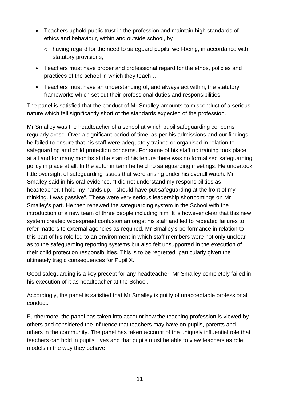- Teachers uphold public trust in the profession and maintain high standards of ethics and behaviour, within and outside school, by
	- o having regard for the need to safeguard pupils' well-being, in accordance with statutory provisions;
- Teachers must have proper and professional regard for the ethos, policies and practices of the school in which they teach…
- Teachers must have an understanding of, and always act within, the statutory frameworks which set out their professional duties and responsibilities.

The panel is satisfied that the conduct of Mr Smalley amounts to misconduct of a serious nature which fell significantly short of the standards expected of the profession.

Mr Smalley was the headteacher of a school at which pupil safeguarding concerns regularly arose. Over a significant period of time, as per his admissions and our findings, he failed to ensure that his staff were adequately trained or organised in relation to safeguarding and child protection concerns. For some of his staff no training took place at all and for many months at the start of his tenure there was no formalised safeguarding policy in place at all. In the autumn term he held no safeguarding meetings. He undertook little oversight of safeguarding issues that were arising under his overall watch. Mr Smalley said in his oral evidence, "I did not understand my responsibilities as headteacher. I hold my hands up. I should have put safeguarding at the front of my thinking. I was passive". These were very serious leadership shortcomings on Mr Smalley's part. He then renewed the safeguarding system in the School with the introduction of a new team of three people including him. It is however clear that this new system created widespread confusion amongst his staff and led to repeated failures to refer matters to external agencies as required. Mr Smalley's performance in relation to this part of his role led to an environment in which staff members were not only unclear as to the safeguarding reporting systems but also felt unsupported in the execution of their child protection responsibilities. This is to be regretted, particularly given the ultimately tragic consequences for Pupil X.

Good safeguarding is a key precept for any headteacher. Mr Smalley completely failed in his execution of it as headteacher at the School.

Accordingly, the panel is satisfied that Mr Smalley is guilty of unacceptable professional conduct.

Furthermore, the panel has taken into account how the teaching profession is viewed by others and considered the influence that teachers may have on pupils, parents and others in the community. The panel has taken account of the uniquely influential role that teachers can hold in pupils' lives and that pupils must be able to view teachers as role models in the way they behave.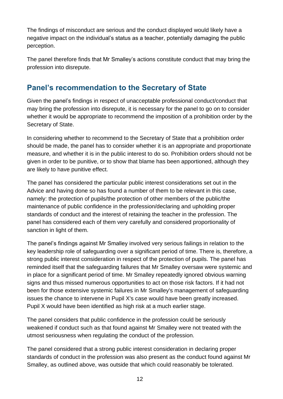The findings of misconduct are serious and the conduct displayed would likely have a negative impact on the individual's status as a teacher, potentially damaging the public perception.

The panel therefore finds that Mr Smalley's actions constitute conduct that may bring the profession into disrepute.

## <span id="page-11-0"></span>**Panel's recommendation to the Secretary of State**

Given the panel's findings in respect of unacceptable professional conduct/conduct that may bring the profession into disrepute, it is necessary for the panel to go on to consider whether it would be appropriate to recommend the imposition of a prohibition order by the Secretary of State.

In considering whether to recommend to the Secretary of State that a prohibition order should be made, the panel has to consider whether it is an appropriate and proportionate measure, and whether it is in the public interest to do so. Prohibition orders should not be given in order to be punitive, or to show that blame has been apportioned, although they are likely to have punitive effect.

The panel has considered the particular public interest considerations set out in the Advice and having done so has found a number of them to be relevant in this case, namely: the protection of pupils/the protection of other members of the public/the maintenance of public confidence in the profession/declaring and upholding proper standards of conduct and the interest of retaining the teacher in the profession. The panel has considered each of them very carefully and considered proportionality of sanction in light of them.

The panel's findings against Mr Smalley involved very serious failings in relation to the key leadership role of safeguarding over a significant period of time. There is, therefore, a strong public interest consideration in respect of the protection of pupils. The panel has reminded itself that the safeguarding failures that Mr Smalley oversaw were systemic and in place for a significant period of time. Mr Smalley repeatedly ignored obvious warning signs and thus missed numerous opportunities to act on those risk factors. If it had not been for those extensive systemic failures in Mr Smalley's management of safeguarding issues the chance to intervene in Pupil X's case would have been greatly increased. Pupil X would have been identified as high risk at a much earlier stage.

The panel considers that public confidence in the profession could be seriously weakened if conduct such as that found against Mr Smalley were not treated with the utmost seriousness when regulating the conduct of the profession.

The panel considered that a strong public interest consideration in declaring proper standards of conduct in the profession was also present as the conduct found against Mr Smalley, as outlined above, was outside that which could reasonably be tolerated.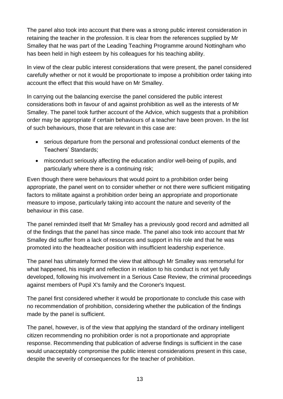The panel also took into account that there was a strong public interest consideration in retaining the teacher in the profession. It is clear from the references supplied by Mr Smalley that he was part of the Leading Teaching Programme around Nottingham who has been held in high esteem by his colleagues for his teaching ability.

In view of the clear public interest considerations that were present, the panel considered carefully whether or not it would be proportionate to impose a prohibition order taking into account the effect that this would have on Mr Smalley.

In carrying out the balancing exercise the panel considered the public interest considerations both in favour of and against prohibition as well as the interests of Mr Smalley. The panel took further account of the Advice, which suggests that a prohibition order may be appropriate if certain behaviours of a teacher have been proven. In the list of such behaviours, those that are relevant in this case are:

- serious departure from the personal and professional conduct elements of the Teachers' Standards;
- misconduct seriously affecting the education and/or well-being of pupils, and particularly where there is a continuing risk;

Even though there were behaviours that would point to a prohibition order being appropriate, the panel went on to consider whether or not there were sufficient mitigating factors to militate against a prohibition order being an appropriate and proportionate measure to impose, particularly taking into account the nature and severity of the behaviour in this case.

The panel reminded itself that Mr Smalley has a previously good record and admitted all of the findings that the panel has since made. The panel also took into account that Mr Smalley did suffer from a lack of resources and support in his role and that he was promoted into the headteacher position with insufficient leadership experience.

The panel has ultimately formed the view that although Mr Smalley was remorseful for what happened, his insight and reflection in relation to his conduct is not yet fully developed, following his involvement in a Serious Case Review, the criminal proceedings against members of Pupil X's family and the Coroner's Inquest.

The panel first considered whether it would be proportionate to conclude this case with no recommendation of prohibition, considering whether the publication of the findings made by the panel is sufficient.

The panel, however, is of the view that applying the standard of the ordinary intelligent citizen recommending no prohibition order is not a proportionate and appropriate response. Recommending that publication of adverse findings is sufficient in the case would unacceptably compromise the public interest considerations present in this case, despite the severity of consequences for the teacher of prohibition.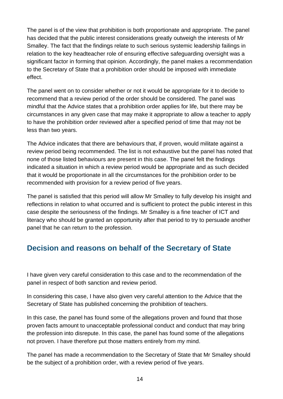The panel is of the view that prohibition is both proportionate and appropriate. The panel has decided that the public interest considerations greatly outweigh the interests of Mr Smalley. The fact that the findings relate to such serious systemic leadership failings in relation to the key headteacher role of ensuring effective safeguarding oversight was a significant factor in forming that opinion. Accordingly, the panel makes a recommendation to the Secretary of State that a prohibition order should be imposed with immediate effect.

The panel went on to consider whether or not it would be appropriate for it to decide to recommend that a review period of the order should be considered. The panel was mindful that the Advice states that a prohibition order applies for life, but there may be circumstances in any given case that may make it appropriate to allow a teacher to apply to have the prohibition order reviewed after a specified period of time that may not be less than two years.

The Advice indicates that there are behaviours that, if proven, would militate against a review period being recommended. The list is not exhaustive but the panel has noted that none of those listed behaviours are present in this case. The panel felt the findings indicated a situation in which a review period would be appropriate and as such decided that it would be proportionate in all the circumstances for the prohibition order to be recommended with provision for a review period of five years.

The panel is satisfied that this period will allow Mr Smalley to fully develop his insight and reflections in relation to what occurred and is sufficient to protect the public interest in this case despite the seriousness of the findings. Mr Smalley is a fine teacher of ICT and literacy who should be granted an opportunity after that period to try to persuade another panel that he can return to the profession.

## <span id="page-13-0"></span>**Decision and reasons on behalf of the Secretary of State**

I have given very careful consideration to this case and to the recommendation of the panel in respect of both sanction and review period.

In considering this case, I have also given very careful attention to the Advice that the Secretary of State has published concerning the prohibition of teachers.

In this case, the panel has found some of the allegations proven and found that those proven facts amount to unacceptable professional conduct and conduct that may bring the profession into disrepute. In this case, the panel has found some of the allegations not proven. I have therefore put those matters entirely from my mind.

The panel has made a recommendation to the Secretary of State that Mr Smalley should be the subject of a prohibition order, with a review period of five years.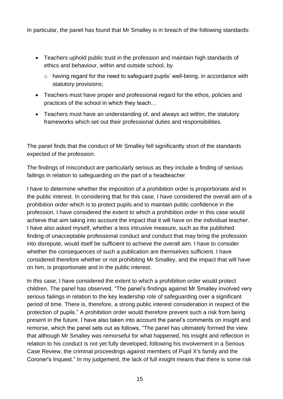In particular, the panel has found that Mr Smalley is in breach of the following standards:

- Teachers uphold public trust in the profession and maintain high standards of ethics and behaviour, within and outside school, by
	- o having regard for the need to safeguard pupils' well-being, in accordance with statutory provisions;
- Teachers must have proper and professional regard for the ethos, policies and practices of the school in which they teach…
- Teachers must have an understanding of, and always act within, the statutory frameworks which set out their professional duties and responsibilities.

The panel finds that the conduct of Mr Smalley fell significantly short of the standards expected of the profession.

The findings of misconduct are particularly serious as they include a finding of serious failings in relation to safeguarding on the part of a headteacher

I have to determine whether the imposition of a prohibition order is proportionate and in the public interest. In considering that for this case, I have considered the overall aim of a prohibition order which is to protect pupils and to maintain public confidence in the profession. I have considered the extent to which a prohibition order in this case would achieve that aim taking into account the impact that it will have on the individual teacher. I have also asked myself, whether a less intrusive measure, such as the published finding of unacceptable professional conduct and conduct that may bring the profession into disrepute, would itself be sufficient to achieve the overall aim. I have to consider whether the consequences of such a publication are themselves sufficient. I have considered therefore whether or not prohibiting Mr Smalley, and the impact that will have on him, is proportionate and in the public interest.

In this case, I have considered the extent to which a prohibition order would protect children. The panel has observed, "The panel's findings against Mr Smalley involved very serious failings in relation to the key leadership role of safeguarding over a significant period of time. There is, therefore, a strong public interest consideration in respect of the protection of pupils." A prohibition order would therefore prevent such a risk from being present in the future. I have also taken into account the panel's comments on insight and remorse, which the panel sets out as follows, "The panel has ultimately formed the view that although Mr Smalley was remorseful for what happened, his insight and reflection in relation to his conduct is not yet fully developed, following his involvement in a Serious Case Review, the criminal proceedings against members of Pupil X's family and the Coroner's Inquest." In my judgement, the lack of full insight means that there is some risk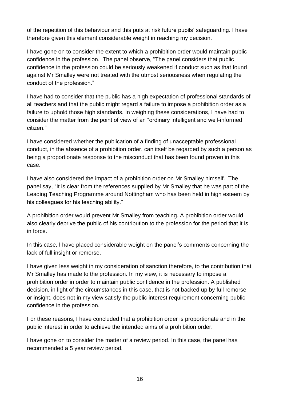of the repetition of this behaviour and this puts at risk future pupils' safeguarding. I have therefore given this element considerable weight in reaching my decision.

I have gone on to consider the extent to which a prohibition order would maintain public confidence in the profession. The panel observe, "The panel considers that public confidence in the profession could be seriously weakened if conduct such as that found against Mr Smalley were not treated with the utmost seriousness when regulating the conduct of the profession."

I have had to consider that the public has a high expectation of professional standards of all teachers and that the public might regard a failure to impose a prohibition order as a failure to uphold those high standards. In weighing these considerations, I have had to consider the matter from the point of view of an "ordinary intelligent and well-informed citizen."

I have considered whether the publication of a finding of unacceptable professional conduct, in the absence of a prohibition order, can itself be regarded by such a person as being a proportionate response to the misconduct that has been found proven in this case.

I have also considered the impact of a prohibition order on Mr Smalley himself. The panel say, "It is clear from the references supplied by Mr Smalley that he was part of the Leading Teaching Programme around Nottingham who has been held in high esteem by his colleagues for his teaching ability."

A prohibition order would prevent Mr Smalley from teaching. A prohibition order would also clearly deprive the public of his contribution to the profession for the period that it is in force.

In this case, I have placed considerable weight on the panel's comments concerning the lack of full insight or remorse.

I have given less weight in my consideration of sanction therefore, to the contribution that Mr Smalley has made to the profession. In my view, it is necessary to impose a prohibition order in order to maintain public confidence in the profession. A published decision, in light of the circumstances in this case, that is not backed up by full remorse or insight, does not in my view satisfy the public interest requirement concerning public confidence in the profession.

For these reasons, I have concluded that a prohibition order is proportionate and in the public interest in order to achieve the intended aims of a prohibition order.

I have gone on to consider the matter of a review period. In this case, the panel has recommended a 5 year review period.